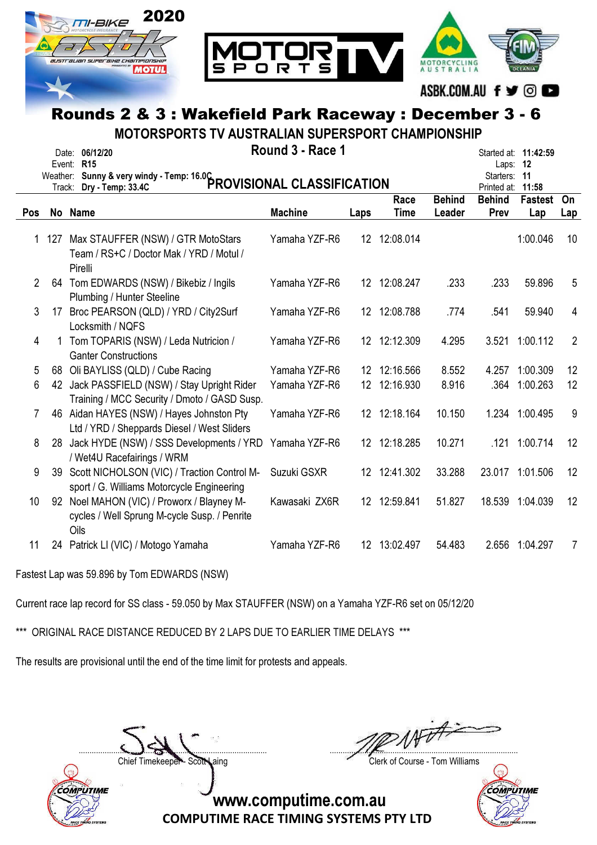

MOTORSPORTS TV AUSTRALIAN SUPERSPORT CHAMPIONSHIP

|             |          | Date: 06/12/20<br>Event: R15                                                                    | Round 3 - Race 1 |                 |              |               | Laps:                    | Started at: 11:42:59<br>- 12 |                |
|-------------|----------|-------------------------------------------------------------------------------------------------|------------------|-----------------|--------------|---------------|--------------------------|------------------------------|----------------|
|             | Weather: | Sunny & very windy - Temp: 16.0C<br>PROVISIONAL CLASSIFICATION<br>Track: Dry - Temp: 33.4C      |                  |                 |              |               | Starters:<br>Printed at: | 11<br>11:58                  |                |
|             |          |                                                                                                 |                  |                 | Race         | <b>Behind</b> | <b>Behind</b>            | <b>Fastest</b>               | On             |
| Pos         |          | No Name                                                                                         | <b>Machine</b>   | Laps            | <b>Time</b>  | Leader        | Prev                     | Lap                          | Lap            |
| $\mathbf 1$ | 127      | Max STAUFFER (NSW) / GTR MotoStars<br>Team / RS+C / Doctor Mak / YRD / Motul /<br>Pirelli       | Yamaha YZF-R6    |                 | 12 12:08.014 |               |                          | 1:00.046                     | 10             |
| 2           |          | 64 Tom EDWARDS (NSW) / Bikebiz / Ingils<br>Plumbing / Hunter Steeline                           | Yamaha YZF-R6    |                 | 12 12:08.247 | .233          | .233                     | 59.896                       | 5              |
| 3           | 17       | Broc PEARSON (QLD) / YRD / City2Surf<br>Locksmith / NQFS                                        | Yamaha YZF-R6    |                 | 12 12:08.788 | .774          | .541                     | 59.940                       | 4              |
| 4           |          | Tom TOPARIS (NSW) / Leda Nutricion /<br><b>Ganter Constructions</b>                             | Yamaha YZF-R6    |                 | 12 12:12.309 | 4.295         | 3.521                    | 1:00.112                     | $\overline{2}$ |
| 5           |          | 68 Oli BAYLISS (QLD) / Cube Racing                                                              | Yamaha YZF-R6    | 12              | 12:16.566    | 8.552         | 4.257                    | 1:00.309                     | 12             |
| 6           |          | 42 Jack PASSFIELD (NSW) / Stay Upright Rider<br>Training / MCC Security / Dmoto / GASD Susp.    | Yamaha YZF-R6    | 12 <sup>°</sup> | 12:16.930    | 8.916         | .364                     | 1:00.263                     | 12             |
| 7           |          | 46 Aidan HAYES (NSW) / Hayes Johnston Pty<br>Ltd / YRD / Sheppards Diesel / West Sliders        | Yamaha YZF-R6    |                 | 12 12:18.164 | 10.150        |                          | 1.234 1:00.495               | 9              |
| 8           | 28       | Jack HYDE (NSW) / SSS Developments / YRD<br>/ Wet4U Racefairings / WRM                          | Yamaha YZF-R6    |                 | 12 12:18.285 | 10.271        | .121                     | 1:00.714                     | 12             |
| 9           | 39       | Scott NICHOLSON (VIC) / Traction Control M-<br>sport / G. Williams Motorcycle Engineering       | Suzuki GSXR      |                 | 12 12:41.302 | 33.288        |                          | 23.017 1:01.506              | 12             |
| 10          | 92       | Noel MAHON (VIC) / Proworx / Blayney M-<br>cycles / Well Sprung M-cycle Susp. / Penrite<br>Oils | Kawasaki ZX6R    |                 | 12 12:59.841 | 51.827        |                          | 18.539 1:04.039              | 12             |
| 11          |          | 24 Patrick LI (VIC) / Motogo Yamaha                                                             | Yamaha YZF-R6    |                 | 12 13:02.497 | 54.483        | 2.656                    | 1:04.297                     | $\overline{7}$ |

Fastest Lap was 59.896 by Tom EDWARDS (NSW)

Current race lap record for SS class - 59.050 by Max STAUFFER (NSW) on a Yamaha YZF-R6 set on 05/12/20

\*\*\* ORIGINAL RACE DISTANCE REDUCED BY 2 LAPS DUE TO EARLIER TIME DELAYS \*\*\*

The results are provisional until the end of the time limit for protests and appeals.



....................................................................................... .......................................................................................

Chief Timekeeper - Scott Laing Chief Timekeeper - Scott Laing

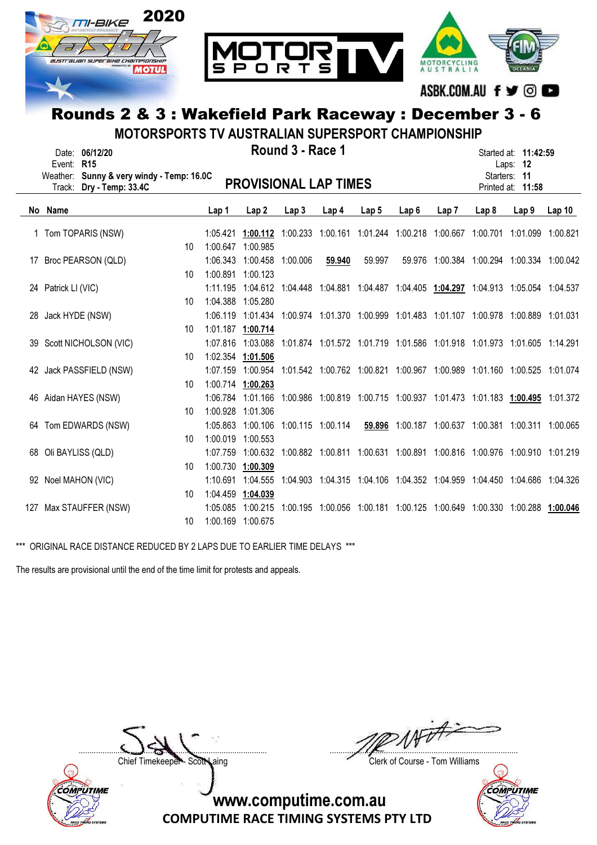

MOTORSPORTS TV AUSTRALIAN SUPERSPORT CHAMPIONSHIP

|    | Event:<br>Track:    | Date: 06/12/20<br><b>R15</b><br>Weather: Sunny & very windy - Temp: 16.0C<br>Dry - Temp: 33.4C |                 |                      | <b>PROVISIONAL LAP TIMES</b>                                                              | Round 3 - Race 1 |                   |                  |      |      |                                                                                  | Started at: 11:42:59<br>Laps: 12<br>Starters: 11<br>Printed at: 11:58 |                   |
|----|---------------------|------------------------------------------------------------------------------------------------|-----------------|----------------------|-------------------------------------------------------------------------------------------|------------------|-------------------|------------------|------|------|----------------------------------------------------------------------------------|-----------------------------------------------------------------------|-------------------|
|    | No Name             |                                                                                                |                 | Lap 1                | Lap <sub>2</sub>                                                                          | Lap3             | Lap <sub>4</sub>  | Lap <sub>5</sub> | Lap6 | Lap7 | Lap 8                                                                            | Lap <sub>9</sub>                                                      | Lap <sub>10</sub> |
|    |                     |                                                                                                |                 |                      |                                                                                           |                  |                   |                  |      |      |                                                                                  |                                                                       |                   |
|    |                     | 1 Tom TOPARIS (NSW)                                                                            | 10 <sup>1</sup> | 1:05.421<br>1:00.647 | 1:00.112<br>1:00.985                                                                      |                  |                   |                  |      |      | 1:00.233 1:00.161 1:01.244 1:00.218 1:00.667 1:00.701 1:01.099 1:00.821          |                                                                       |                   |
|    |                     |                                                                                                |                 |                      |                                                                                           |                  |                   |                  |      |      |                                                                                  |                                                                       |                   |
|    |                     | 17 Broc PEARSON (QLD)                                                                          | 10              | 1:00.891 1:00.123    | 1:06.343 1:00.458                                                                         | 1:00.006         | 59.940            | 59.997           |      |      | 59.976 1:00.384 1:00.294 1:00.334 1:00.042                                       |                                                                       |                   |
|    |                     |                                                                                                |                 | 1:11.195             |                                                                                           |                  |                   |                  |      |      | 1:04.612 1:04.448 1:04.881 1:04.487 1:04.405 1:04.297 1:04.913 1:05.054 1:04.537 |                                                                       |                   |
|    | 24 Patrick LI (VIC) |                                                                                                | 10 <sup>1</sup> | 1:04.388             | 1:05.280                                                                                  |                  |                   |                  |      |      |                                                                                  |                                                                       |                   |
| 28 | Jack HYDE (NSW)     |                                                                                                |                 |                      | 1:06.119 1:01.434 1:00.974 1:01.370 1:00.999 1:01.483 1:01.107 1:00.978 1:00.889 1:01.031 |                  |                   |                  |      |      |                                                                                  |                                                                       |                   |
|    |                     |                                                                                                | 10              |                      | 1:01.187 1:00.714                                                                         |                  |                   |                  |      |      |                                                                                  |                                                                       |                   |
|    |                     | 39 Scott NICHOLSON (VIC)                                                                       |                 |                      | 1:07.816 1:03.088                                                                         |                  |                   |                  |      |      | 1:01.874 1:01.572 1:01.719 1:01.586 1:01.918 1:01.973 1:01.605 1:14.291          |                                                                       |                   |
|    |                     |                                                                                                | 10              | 1:02.354 1:01.506    |                                                                                           |                  |                   |                  |      |      |                                                                                  |                                                                       |                   |
|    |                     | 42 Jack PASSFIELD (NSW)                                                                        |                 | 1:07.159             | 1:00.954                                                                                  |                  |                   |                  |      |      | 1:01.542 1:00.762 1:00.821 1:00.967 1:00.989 1:01.160 1:00.525 1:01.074          |                                                                       |                   |
|    |                     |                                                                                                | 10              | 1:00.714 1:00.263    |                                                                                           |                  |                   |                  |      |      |                                                                                  |                                                                       |                   |
|    |                     | 46 Aidan HAYES (NSW)                                                                           |                 |                      | 1:06.784 1:01.166                                                                         |                  |                   |                  |      |      | 1:00.986 1:00.819 1:00.715 1:00.937 1:01.473 1:01.183 1:00.495 1:01.372          |                                                                       |                   |
|    |                     |                                                                                                | 10 <sup>1</sup> | 1:00.928 1:01.306    |                                                                                           |                  |                   |                  |      |      |                                                                                  |                                                                       |                   |
|    |                     | 64 Tom EDWARDS (NSW)                                                                           |                 | 1:05.863             | 1:00.106                                                                                  |                  | 1:00.115 1:00.114 |                  |      |      | 59.896 1:00.187 1:00.637 1:00.381 1:00.311 1:00.065                              |                                                                       |                   |
|    |                     |                                                                                                | 10              | 1:00.019 1:00.553    |                                                                                           |                  |                   |                  |      |      |                                                                                  |                                                                       |                   |
|    |                     | 68 Oli BAYLISS (QLD)                                                                           |                 | 1:07.759             | 1:00.632                                                                                  |                  |                   |                  |      |      | 1:00.882 1:00.811 1:00.631 1:00.891 1:00.816 1:00.976 1:00.910 1:01.219          |                                                                       |                   |
|    |                     |                                                                                                | 10              | 1:00.730             | 1:00.309                                                                                  |                  |                   |                  |      |      |                                                                                  |                                                                       |                   |
|    | 92 Noel MAHON (VIC) |                                                                                                |                 | 1:10.691             | 1:04.555                                                                                  |                  |                   |                  |      |      | 1:04.903 1:04.315 1:04.106 1:04.352 1:04.959 1:04.450 1:04.686 1:04.326          |                                                                       |                   |
|    |                     |                                                                                                | 10              | 1:04.459 1:04.039    |                                                                                           |                  |                   |                  |      |      |                                                                                  |                                                                       |                   |
|    |                     | 127 Max STAUFFER (NSW)                                                                         |                 | 1:05.085             | 1:00.215                                                                                  |                  |                   |                  |      |      | 1:00.195 1:00.056 1:00.181 1:00.125 1:00.649 1:00.330 1:00.288 1:00.046          |                                                                       |                   |
|    |                     |                                                                                                | 10              | 1:00.169 1:00.675    |                                                                                           |                  |                   |                  |      |      |                                                                                  |                                                                       |                   |

\*\*\* ORIGINAL RACE DISTANCE REDUCED BY 2 LAPS DUE TO EARLIER TIME DELAYS \*\*\*

The results are provisional until the end of the time limit for protests and appeals.



....................................................................................... .......................................................................................

Chief Timekeeper - Scott Laing Clerk of Course - Tom Williams

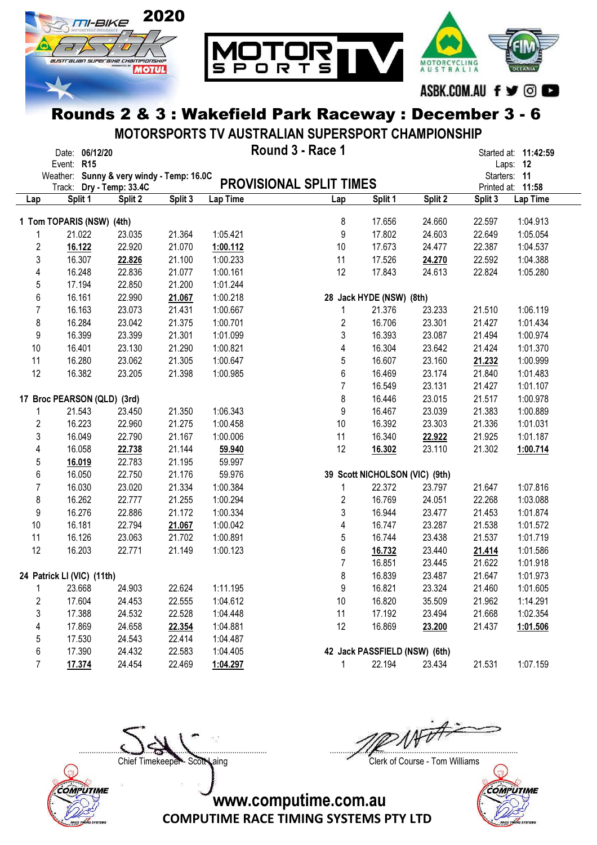

MOTORSPORTS TV AUSTRALIAN SUPERSPORT CHAMPIONSHIP

|                         | Date: 06/12/20<br>Event: R15                                          |         |         |          | Round 3 - Race 1        |                                |         |         | Started at: 11:42:59<br>Laps: 12  |
|-------------------------|-----------------------------------------------------------------------|---------|---------|----------|-------------------------|--------------------------------|---------|---------|-----------------------------------|
|                         | Weather: Sunny & very windy - Temp: 16.0C<br>Track: Dry - Temp: 33.4C |         |         |          | PROVISIONAL SPLIT TIMES |                                |         |         | Starters: 11<br>Printed at: 11:58 |
| Lap                     | Split 1                                                               | Split 2 | Split 3 | Lap Time | Lap                     | Split 1                        | Split 2 | Split 3 | Lap Time                          |
|                         | 1 Tom TOPARIS (NSW) (4th)                                             |         |         |          | 8                       | 17.656                         | 24.660  | 22.597  | 1:04.913                          |
| 1                       | 21.022                                                                | 23.035  | 21.364  | 1:05.421 | 9                       | 17.802                         | 24.603  | 22.649  | 1:05.054                          |
| $\overline{\mathbf{c}}$ | 16.122                                                                | 22.920  | 21.070  | 1:00.112 | 10                      | 17.673                         | 24.477  | 22.387  | 1:04.537                          |
| 3                       | 16.307                                                                | 22.826  | 21.100  | 1:00.233 | 11                      | 17.526                         | 24.270  | 22.592  | 1:04.388                          |
| 4                       | 16.248                                                                | 22.836  | 21.077  | 1:00.161 | 12                      | 17.843                         | 24.613  | 22.824  | 1:05.280                          |
| 5                       | 17.194                                                                | 22.850  | 21.200  | 1:01.244 |                         |                                |         |         |                                   |
| 6                       | 16.161                                                                | 22.990  | 21.067  | 1:00.218 |                         | 28 Jack HYDE (NSW) (8th)       |         |         |                                   |
| 7                       | 16.163                                                                | 23.073  | 21.431  | 1:00.667 | 1                       | 21.376                         | 23.233  | 21.510  | 1:06.119                          |
| 8                       | 16.284                                                                | 23.042  | 21.375  | 1:00.701 | 2                       | 16.706                         | 23.301  | 21.427  | 1:01.434                          |
| 9                       | 16.399                                                                | 23.399  | 21.301  | 1:01.099 | 3                       | 16.393                         | 23.087  | 21.494  | 1:00.974                          |
| 10                      | 16.401                                                                | 23.130  | 21.290  | 1:00.821 | 4                       | 16.304                         | 23.642  | 21.424  | 1:01.370                          |
| 11                      | 16.280                                                                | 23.062  | 21.305  | 1:00.647 | 5                       | 16.607                         | 23.160  | 21.232  | 1:00.999                          |
| 12                      | 16.382                                                                | 23.205  | 21.398  | 1:00.985 | 6                       | 16.469                         | 23.174  | 21.840  | 1:01.483                          |
|                         |                                                                       |         |         |          | $\overline{7}$          | 16.549                         | 23.131  | 21.427  | 1:01.107                          |
|                         | 17 Broc PEARSON (QLD) (3rd)                                           |         |         |          | 8                       | 16.446                         | 23.015  | 21.517  | 1:00.978                          |
|                         | 21.543                                                                | 23.450  | 21.350  | 1:06.343 | 9                       | 16.467                         | 23.039  | 21.383  | 1:00.889                          |
| 2                       | 16.223                                                                | 22.960  | 21.275  | 1:00.458 | 10                      | 16.392                         | 23.303  | 21.336  | 1:01.031                          |
| 3                       | 16.049                                                                | 22.790  | 21.167  | 1:00.006 | 11                      | 16.340                         | 22.922  | 21.925  | 1:01.187                          |
| 4                       | 16.058                                                                | 22.738  | 21.144  | 59.940   | 12                      | 16.302                         | 23.110  | 21.302  | 1:00.714                          |
| 5                       | 16.019                                                                | 22.783  | 21.195  | 59.997   |                         |                                |         |         |                                   |
| 6                       | 16.050                                                                | 22.750  | 21.176  | 59.976   |                         | 39 Scott NICHOLSON (VIC) (9th) |         |         |                                   |
| $\overline{7}$          | 16.030                                                                | 23.020  | 21.334  | 1:00.384 | 1                       | 22.372                         | 23.797  | 21.647  | 1:07.816                          |
| 8                       | 16.262                                                                | 22.777  | 21.255  | 1:00.294 | 2                       | 16.769                         | 24.051  | 22.268  | 1:03.088                          |
| 9                       | 16.276                                                                | 22.886  | 21.172  | 1:00.334 | 3                       | 16.944                         | 23.477  | 21.453  | 1:01.874                          |
| 10                      | 16.181                                                                | 22.794  | 21.067  | 1:00.042 | 4                       | 16.747                         | 23.287  | 21.538  | 1:01.572                          |
| 11                      | 16.126                                                                | 23.063  | 21.702  | 1:00.891 | 5                       | 16.744                         | 23.438  | 21.537  | 1:01.719                          |
| 12                      | 16.203                                                                | 22.771  | 21.149  | 1:00.123 | 6                       | 16.732                         | 23.440  | 21.414  | 1:01.586                          |
|                         |                                                                       |         |         |          | $\overline{7}$          | 16.851                         | 23.445  | 21.622  | 1:01.918                          |
|                         | 24 Patrick LI (VIC) (11th)                                            |         |         |          | 8                       | 16.839                         | 23.487  | 21.647  | 1:01.973                          |
| 1                       | 23.668                                                                | 24.903  | 22.624  | 1:11.195 | 9                       | 16.821                         | 23.324  | 21.460  | 1:01.605                          |
| 2                       | 17.604                                                                | 24.453  | 22.555  | 1:04.612 | 10                      | 16.820                         | 35.509  | 21.962  | 1:14.291                          |
| 3                       | 17.388                                                                | 24.532  | 22.528  | 1:04.448 | 11                      | 17.192                         | 23.494  | 21.668  | 1:02.354                          |
| 4                       | 17.869                                                                | 24.658  | 22.354  | 1:04.881 | 12 <sup>°</sup>         | 16.869                         | 23.200  | 21.437  | 1:01.506                          |
| 5                       | 17.530                                                                | 24.543  | 22.414  | 1:04.487 |                         |                                |         |         |                                   |
| 6                       | 17.390                                                                | 24.432  | 22.583  | 1:04.405 |                         | 42 Jack PASSFIELD (NSW) (6th)  |         |         |                                   |
| $\overline{7}$          | 17.374                                                                | 24.454  | 22.469  | 1:04.297 | 1                       | 22.194                         | 23.434  | 21.531  | 1:07.159                          |



....................................................................................... .......................................................................................

Chief Timekeeper - Scott Laing Chief Timekeeper - Scott Laing

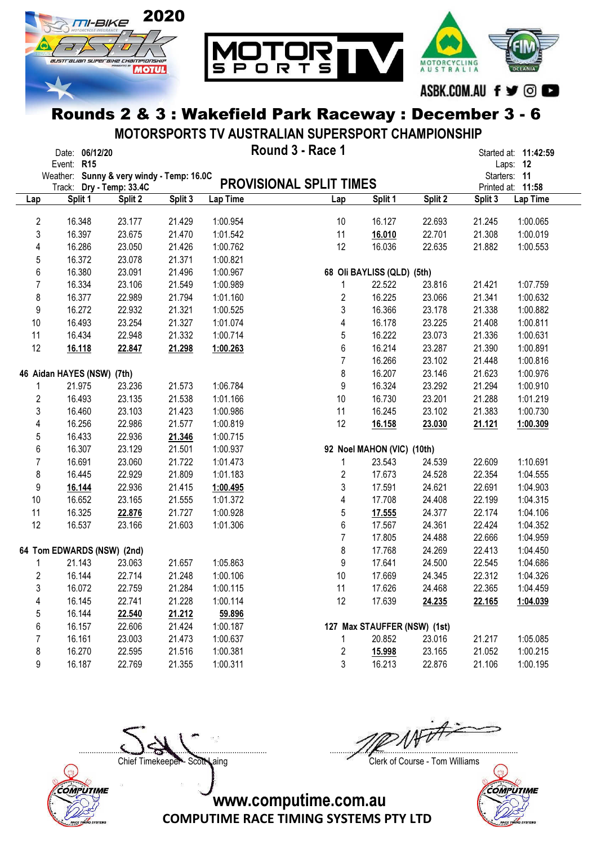

MOTORSPORTS TV AUSTRALIAN SUPERSPORT CHAMPIONSHIP

|                         | Date: 06/12/20<br>Event: R15                                          |         |         |          | Round 3 - Race 1               |                              |         |         | Started at: 11:42:59<br>Laps: 12  |
|-------------------------|-----------------------------------------------------------------------|---------|---------|----------|--------------------------------|------------------------------|---------|---------|-----------------------------------|
|                         | Weather: Sunny & very windy - Temp: 16.0C<br>Track: Dry - Temp: 33.4C |         |         |          | <b>PROVISIONAL SPLIT TIMES</b> |                              |         |         | Starters: 11<br>Printed at: 11:58 |
| Lap                     | Split 1                                                               | Split 2 | Split 3 | Lap Time | Lap                            | Split 1                      | Split 2 | Split 3 | Lap Time                          |
|                         |                                                                       |         |         |          |                                |                              |         |         |                                   |
| $\overline{\mathbf{c}}$ | 16.348                                                                | 23.177  | 21.429  | 1:00.954 | 10                             | 16.127                       | 22.693  | 21.245  | 1:00.065                          |
| 3                       | 16.397                                                                | 23.675  | 21.470  | 1:01.542 | 11                             | 16.010                       | 22.701  | 21.308  | 1:00.019                          |
| 4                       | 16.286                                                                | 23.050  | 21.426  | 1:00.762 | 12                             | 16.036                       | 22.635  | 21.882  | 1:00.553                          |
| 5                       | 16.372                                                                | 23.078  | 21.371  | 1:00.821 |                                |                              |         |         |                                   |
| 6                       | 16.380                                                                | 23.091  | 21.496  | 1:00.967 |                                | 68 Oli BAYLISS (QLD) (5th)   |         |         |                                   |
| $\overline{7}$          | 16.334                                                                | 23.106  | 21.549  | 1:00.989 | 1                              | 22.522                       | 23.816  | 21.421  | 1:07.759                          |
| 8                       | 16.377                                                                | 22.989  | 21.794  | 1:01.160 | 2                              | 16.225                       | 23.066  | 21.341  | 1:00.632                          |
| 9                       | 16.272                                                                | 22.932  | 21.321  | 1:00.525 | 3                              | 16.366                       | 23.178  | 21.338  | 1:00.882                          |
| 10                      | 16.493                                                                | 23.254  | 21.327  | 1:01.074 | 4                              | 16.178                       | 23.225  | 21.408  | 1:00.811                          |
| 11                      | 16.434                                                                | 22.948  | 21.332  | 1:00.714 | 5                              | 16.222                       | 23.073  | 21.336  | 1:00.631                          |
| 12                      | 16.118                                                                | 22.847  | 21.298  | 1:00.263 | 6                              | 16.214                       | 23.287  | 21.390  | 1:00.891                          |
|                         |                                                                       |         |         |          | $\overline{7}$                 | 16.266                       | 23.102  | 21.448  | 1:00.816                          |
|                         | 46 Aidan HAYES (NSW) (7th)                                            |         |         |          | 8                              | 16.207                       | 23.146  | 21.623  | 1:00.976                          |
| 1                       | 21.975                                                                | 23.236  | 21.573  | 1:06.784 | 9                              | 16.324                       | 23.292  | 21.294  | 1:00.910                          |
| 2                       | 16.493                                                                | 23.135  | 21.538  | 1:01.166 | 10                             | 16.730                       | 23.201  | 21.288  | 1:01.219                          |
| 3                       | 16.460                                                                | 23.103  | 21.423  | 1:00.986 | 11                             | 16.245                       | 23.102  | 21.383  | 1:00.730                          |
| 4                       | 16.256                                                                | 22.986  | 21.577  | 1:00.819 | 12                             | 16.158                       | 23.030  | 21.121  | 1:00.309                          |
| 5                       | 16.433                                                                | 22.936  | 21.346  | 1:00.715 |                                |                              |         |         |                                   |
| 6                       | 16.307                                                                | 23.129  | 21.501  | 1:00.937 |                                | 92 Noel MAHON (VIC) (10th)   |         |         |                                   |
| $\overline{7}$          | 16.691                                                                | 23.060  | 21.722  | 1:01.473 | 1                              | 23.543                       | 24.539  | 22.609  | 1:10.691                          |
| 8                       | 16.445                                                                | 22.929  | 21.809  | 1:01.183 | $\boldsymbol{2}$               | 17.673                       | 24.528  | 22.354  | 1:04.555                          |
| 9                       | 16.144                                                                | 22.936  | 21.415  | 1:00.495 | 3                              | 17.591                       | 24.621  | 22.691  | 1:04.903                          |
| 10                      | 16.652                                                                | 23.165  | 21.555  | 1:01.372 | 4                              | 17.708                       | 24.408  | 22.199  | 1:04.315                          |
| 11                      | 16.325                                                                | 22.876  | 21.727  | 1:00.928 | 5                              | 17.555                       | 24.377  | 22.174  | 1:04.106                          |
| 12                      | 16.537                                                                | 23.166  | 21.603  | 1:01.306 | $6\phantom{a}$                 | 17.567                       | 24.361  | 22.424  | 1:04.352                          |
|                         |                                                                       |         |         |          | $\overline{7}$                 | 17.805                       | 24.488  | 22.666  | 1:04.959                          |
|                         | 64 Tom EDWARDS (NSW) (2nd)                                            |         |         |          | 8                              | 17.768                       | 24.269  | 22.413  | 1:04.450                          |
| 1                       | 21.143                                                                | 23.063  | 21.657  | 1:05.863 | 9                              | 17.641                       | 24.500  | 22.545  | 1:04.686                          |
| $\overline{c}$          | 16.144                                                                | 22.714  | 21.248  | 1:00.106 | 10                             | 17.669                       | 24.345  | 22.312  | 1:04.326                          |
| 3                       | 16.072                                                                | 22.759  | 21.284  | 1:00.115 | 11                             | 17.626                       | 24.468  | 22.365  | 1:04.459                          |
| 4                       | 16.145                                                                | 22.741  | 21.228  | 1:00.114 | 12                             | 17.639                       | 24.235  | 22.165  | 1:04.039                          |
| 5                       | 16.144                                                                | 22.540  | 21.212  | 59.896   |                                |                              |         |         |                                   |
| 6                       | 16.157                                                                | 22.606  | 21.424  | 1:00.187 |                                | 127 Max STAUFFER (NSW) (1st) |         |         |                                   |
| 7                       | 16.161                                                                | 23.003  | 21.473  | 1:00.637 | 1                              | 20.852                       | 23.016  | 21.217  | 1:05.085                          |
| 8                       | 16.270                                                                | 22.595  | 21.516  | 1:00.381 | $\boldsymbol{2}$               | 15.998                       | 23.165  | 21.052  | 1:00.215                          |
| 9                       | 16.187                                                                | 22.769  | 21.355  | 1:00.311 | 3                              | 16.213                       | 22.876  | 21.106  | 1:00.195                          |



....................................................................................... .......................................................................................

Chief Timekeeper - Scott Laing Chief Timekeeper - Scott Laing

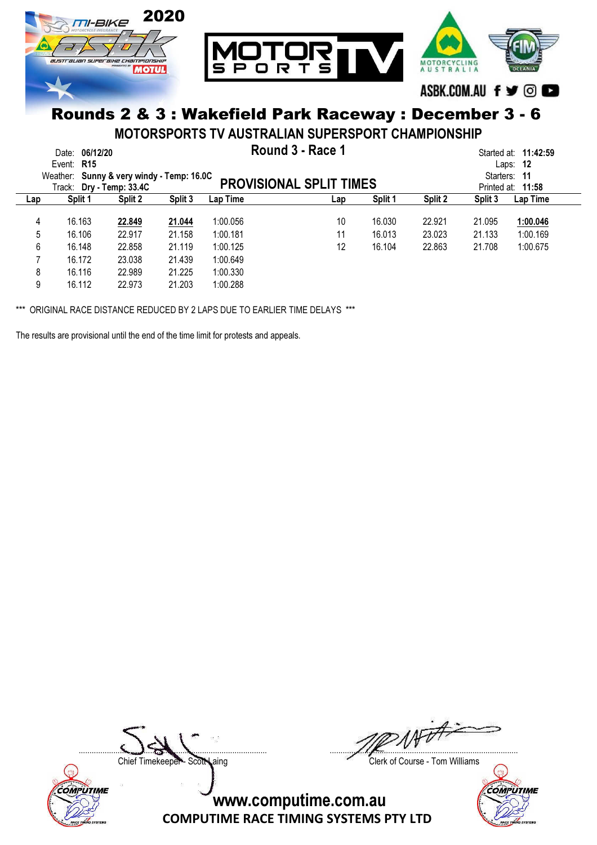

MOTORSPORTS TV AUSTRALIAN SUPERSPORT CHAMPIONSHIP

|        | 06/12/20<br>Date:<br>Event: R15<br>Weather: Sunny & very windy - Temp: 16.0C<br>Track: Dry - Temp: 33.4C |                  |                  | Started at: <b>11:42:59</b><br>- 12<br>Laps:<br>Starters: 11<br>Printed at: 11:58 |          |                  |                  |                  |                      |
|--------|----------------------------------------------------------------------------------------------------------|------------------|------------------|-----------------------------------------------------------------------------------|----------|------------------|------------------|------------------|----------------------|
| Lap    | Split 1                                                                                                  | Split 2          | Split 3          | Lap Time                                                                          | Lap      | Split 1          | Split 2          | Split 3          | Lap Time             |
| 4<br>5 | 16.163<br>16.106                                                                                         | 22.849<br>22.917 | 21.044<br>21.158 | 1:00.056<br>1:00.181                                                              | 10<br>11 | 16.030<br>16.013 | 22.921<br>23.023 | 21.095<br>21.133 | 1:00.046<br>1:00.169 |
| 6      | 16.148                                                                                                   | 22.858           | 21.119           | 1:00.125                                                                          | 12       | 16.104           | 22.863           | 21.708           | 1:00.675             |
|        | 16.172                                                                                                   | 23.038           | 21.439           | 1:00.649                                                                          |          |                  |                  |                  |                      |
| 8<br>9 | 16.116<br>16.112                                                                                         | 22.989<br>22.973 | 21.225<br>21.203 | 1:00.330<br>1:00.288                                                              |          |                  |                  |                  |                      |

\*\*\* ORIGINAL RACE DISTANCE REDUCED BY 2 LAPS DUE TO EARLIER TIME DELAYS \*\*\*

The results are provisional until the end of the time limit for protests and appeals.



....................................................................................... .......................................................................................

Chief Timekeeper - Scott Laing Clerk of Course - Tom Williams

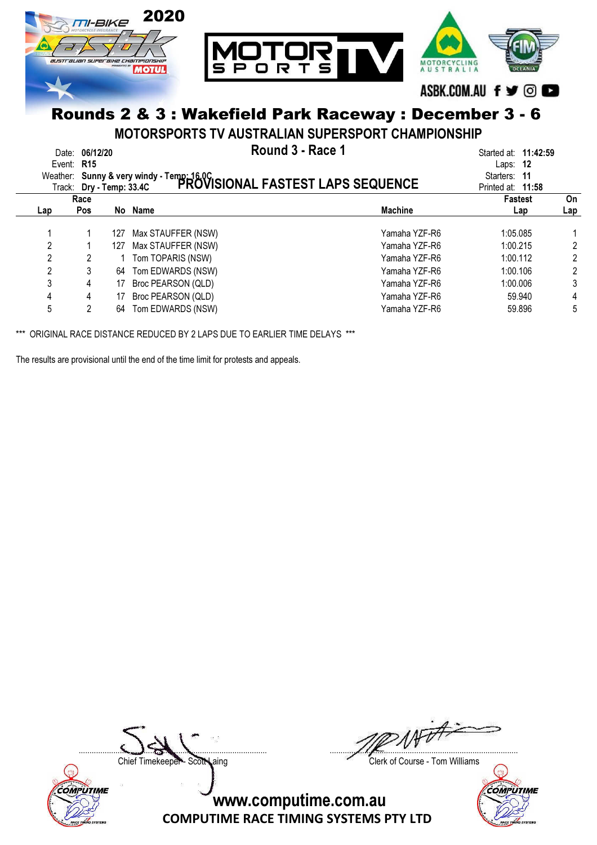

MOTORSPORTS TV AUSTRALIAN SUPERSPORT CHAMPIONSHIP

|     | Date: 06/12/20<br>Event: $R15$ |      |                    | Round 3 - Race 1<br>Weather: Sunny & very windy - Temp: 16.0C<br>Trock: Dr. Jome: 33.4C PROVISIONAL FASTEST LAPS SEQUENCE |                |     |
|-----|--------------------------------|------|--------------------|---------------------------------------------------------------------------------------------------------------------------|----------------|-----|
|     | Race                           |      |                    |                                                                                                                           | <b>Fastest</b> | On  |
| Lap | Pos                            | No l | Name               | <b>Machine</b>                                                                                                            | Lap            | Lap |
|     |                                | 127  | Max STAUFFER (NSW) | Yamaha YZF-R6                                                                                                             | 1:05.085       |     |
| 2   |                                | 127  | Max STAUFFER (NSW) | Yamaha YZF-R6                                                                                                             | 1:00.215       |     |
| 2   |                                |      | Tom TOPARIS (NSW)  | Yamaha YZF-R6                                                                                                             | 1:00.112       |     |
| 2   |                                | 64   | Tom EDWARDS (NSW)  | Yamaha YZF-R6                                                                                                             | 1:00.106       | 2   |
| 3   | 4                              | 17   | Broc PEARSON (QLD) | Yamaha YZF-R6                                                                                                             | 1:00.006       | 3   |
| 4   | 4                              |      | Broc PEARSON (QLD) | Yamaha YZF-R6                                                                                                             | 59.940         | 4   |
| 5   | 2                              | 64   | Tom EDWARDS (NSW)  | Yamaha YZF-R6                                                                                                             | 59.896         | 5   |

\*\*\* ORIGINAL RACE DISTANCE REDUCED BY 2 LAPS DUE TO EARLIER TIME DELAYS \*\*\*

The results are provisional until the end of the time limit for protests and appeals.



....................................................................................... .......................................................................................

Chief Timekeeper - Scott Laing Clerk of Course - Tom Williams

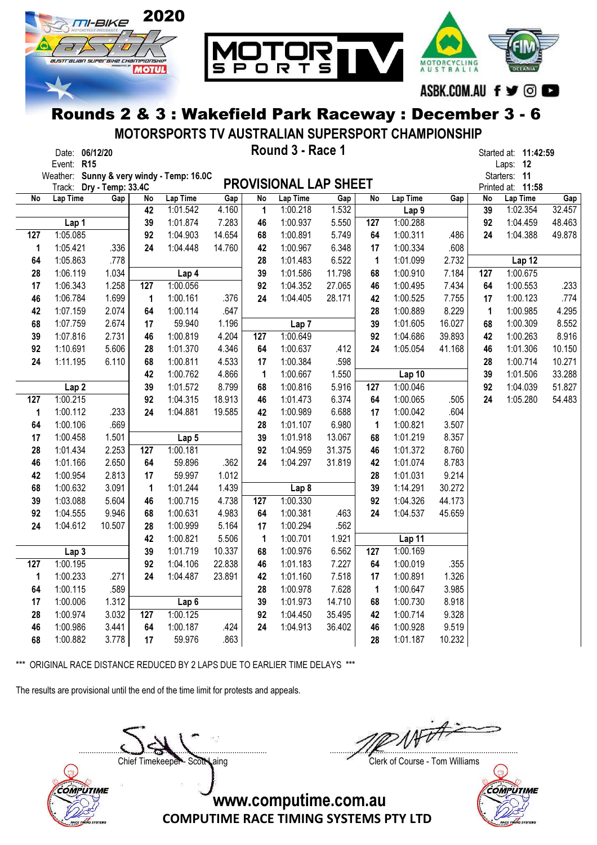

MOTORSPORTS TV AUSTRALIAN SUPERSPORT CHAMPIONSHIP

|     | Date: 06/12/20<br>Event: R15              |                          |     |                  |        |                 | Round 3 - Race 1             |        |     |                  |        |            | Started at: 11:42:59<br>Laps: 12 |               |
|-----|-------------------------------------------|--------------------------|-----|------------------|--------|-----------------|------------------------------|--------|-----|------------------|--------|------------|----------------------------------|---------------|
|     | Weather: Sunny & very windy - Temp: 16.0C |                          |     |                  |        |                 | <b>PROVISIONAL LAP SHEET</b> |        |     |                  |        |            | Starters: 11                     |               |
| No  | Track:<br>Lap Time                        | Dry - Temp: 33.4C<br>Gap | No  | Lap Time         | Gap    | $\overline{No}$ | Lap Time                     | Gap    | No  | Lap Time         | Gap    | ${\sf No}$ | Printed at: 11:58<br>Lap Time    |               |
|     |                                           |                          | 42  | 1:01.542         | 4.160  | $\mathbf{1}$    | 1:00.218                     | 1.532  |     | Lap <sub>9</sub> |        | 39         | 1:02.354                         | Gap<br>32.457 |
|     | Lap 1                                     |                          | 39  | 1:01.874         | 7.283  | 46              | 1:00.937                     | 5.550  | 127 | 1:00.288         |        | 92         | 1:04.459                         | 48.463        |
| 127 | 1:05.085                                  |                          | 92  | 1:04.903         | 14.654 | 68              | 1:00.891                     | 5.749  | 64  | 1:00.311         | .486   | 24         | 1:04.388                         | 49.878        |
| 1   | 1:05.421                                  | .336                     | 24  | 1:04.448         | 14.760 | 42              | 1:00.967                     | 6.348  | 17  | 1:00.334         | .608   |            |                                  |               |
| 64  | 1:05.863                                  | .778                     |     |                  |        | 28              | 1:01.483                     | 6.522  | 1   | 1:01.099         | 2.732  |            | Lap 12                           |               |
| 28  | 1:06.119                                  | 1.034                    |     | Lap 4            |        | 39              | 1:01.586                     | 11.798 | 68  | 1:00.910         | 7.184  | 127        | 1:00.675                         |               |
| 17  | 1:06.343                                  | 1.258                    | 127 | 1:00.056         |        | 92              | 1:04.352                     | 27.065 | 46  | 1:00.495         | 7.434  | 64         | 1:00.553                         | .233          |
| 46  | 1:06.784                                  | 1.699                    | 1   | 1:00.161         | .376   | 24              | 1:04.405                     | 28.171 | 42  | 1:00.525         | 7.755  | 17         | 1:00.123                         | .774          |
| 42  | 1:07.159                                  | 2.074                    | 64  | 1:00.114         | .647   |                 |                              |        | 28  | 1:00.889         | 8.229  | 1          | 1:00.985                         | 4.295         |
| 68  | 1:07.759                                  | 2.674                    | 17  | 59.940           | 1.196  |                 | Lap <sub>7</sub>             |        | 39  | 1:01.605         | 16.027 | 68         | 1:00.309                         | 8.552         |
| 39  | 1:07.816                                  | 2.731                    | 46  | 1:00.819         | 4.204  | 127             | 1:00.649                     |        | 92  | 1:04.686         | 39.893 | 42         | 1:00.263                         | 8.916         |
| 92  | 1:10.691                                  | 5.606                    | 28  | 1:01.370         | 4.346  | 64              | 1:00.637                     | .412   | 24  | 1:05.054         | 41.168 | 46         | 1:01.306                         | 10.150        |
| 24  | 1:11.195                                  | 6.110                    | 68  | 1:00.811         | 4.533  | 17              | 1:00.384                     | .598   |     |                  |        | 28         | 1:00.714                         | 10.271        |
|     |                                           |                          | 42  | 1:00.762         | 4.866  | $\mathbf{1}$    | 1:00.667                     | 1.550  |     | Lap 10           |        | 39         | 1:01.506                         | 33.288        |
|     | Lap <sub>2</sub>                          |                          | 39  | 1:01.572         | 8.799  | 68              | 1:00.816                     | 5.916  | 127 | 1:00.046         |        | 92         | 1:04.039                         | 51.827        |
| 127 | 1:00.215                                  |                          | 92  | 1:04.315         | 18.913 | 46              | 1:01.473                     | 6.374  | 64  | 1:00.065         | .505   | 24         | 1:05.280                         | 54.483        |
| 1   | 1:00.112                                  | .233                     | 24  | 1:04.881         | 19.585 | 42              | 1:00.989                     | 6.688  | 17  | 1:00.042         | .604   |            |                                  |               |
| 64  | 1:00.106                                  | .669                     |     |                  |        | 28              | 1:01.107                     | 6.980  | 1   | 1:00.821         | 3.507  |            |                                  |               |
| 17  | 1:00.458                                  | 1.501                    |     | Lap <sub>5</sub> |        | 39              | 1:01.918                     | 13.067 | 68  | 1:01.219         | 8.357  |            |                                  |               |
| 28  | 1:01.434                                  | 2.253                    | 127 | 1:00.181         |        | 92              | 1:04.959                     | 31.375 | 46  | 1:01.372         | 8.760  |            |                                  |               |
| 46  | 1:01.166                                  | 2.650                    | 64  | 59.896           | .362   | 24              | 1:04.297                     | 31.819 | 42  | 1:01.074         | 8.783  |            |                                  |               |
| 42  | 1:00.954                                  | 2.813                    | 17  | 59.997           | 1.012  |                 |                              |        | 28  | 1:01.031         | 9.214  |            |                                  |               |
| 68  | 1:00.632                                  | 3.091                    | 1   | 1:01.244         | 1.439  |                 | Lap <sub>8</sub>             |        | 39  | 1:14.291         | 30.272 |            |                                  |               |
| 39  | 1:03.088                                  | 5.604                    | 46  | 1:00.715         | 4.738  | 127             | 1:00.330                     |        | 92  | 1:04.326         | 44.173 |            |                                  |               |
| 92  | 1:04.555                                  | 9.946                    | 68  | 1:00.631         | 4.983  | 64              | 1:00.381                     | .463   | 24  | 1:04.537         | 45.659 |            |                                  |               |
| 24  | 1:04.612                                  | 10.507                   | 28  | 1:00.999         | 5.164  | 17              | 1:00.294                     | .562   |     |                  |        |            |                                  |               |
|     |                                           |                          | 42  | 1:00.821         | 5.506  | $\mathbf{1}$    | 1:00.701                     | 1.921  |     | Lap 11           |        |            |                                  |               |
|     | Lap <sub>3</sub>                          |                          | 39  | 1:01.719         | 10.337 | 68              | 1:00.976                     | 6.562  | 127 | 1:00.169         |        |            |                                  |               |
| 127 | 1:00.195                                  |                          | 92  | 1:04.106         | 22.838 | 46              | 1:01.183                     | 7.227  | 64  | 1:00.019         | .355   |            |                                  |               |
| 1   | 1:00.233                                  | .271                     | 24  | 1:04.487         | 23.891 | 42              | 1:01.160                     | 7.518  | 17  | 1:00.891         | 1.326  |            |                                  |               |
| 64  | 1:00.115                                  | .589                     |     |                  |        | 28              | 1:00.978                     | 7.628  | 1   | 1:00.647         | 3.985  |            |                                  |               |
| 17  | 1:00.006                                  | 1.312                    |     | Lap <sub>6</sub> |        | 39              | 1:01.973                     | 14.710 | 68  | 1:00.730         | 8.918  |            |                                  |               |
| 28  | 1:00.974                                  | 3.032                    | 127 | 1:00.125         |        | 92              | 1:04.450                     | 35.495 | 42  | 1:00.714         | 9.328  |            |                                  |               |
| 46  | 1:00.986                                  | 3.441                    | 64  | 1:00.187         | .424   | 24              | 1:04.913                     | 36.402 | 46  | 1:00.928         | 9.519  |            |                                  |               |
| 68  | 1:00.882                                  | 3.778                    | 17  | 59.976           | .863   |                 |                              |        | 28  | 1:01.187         | 10.232 |            |                                  |               |

\*\*\* ORIGINAL RACE DISTANCE REDUCED BY 2 LAPS DUE TO EARLIER TIME DELAYS \*\*\*

The results are provisional until the end of the time limit for protests and appeals.



Chief Timekeeper - Scott Laing Clerk of Course - Tom Williams



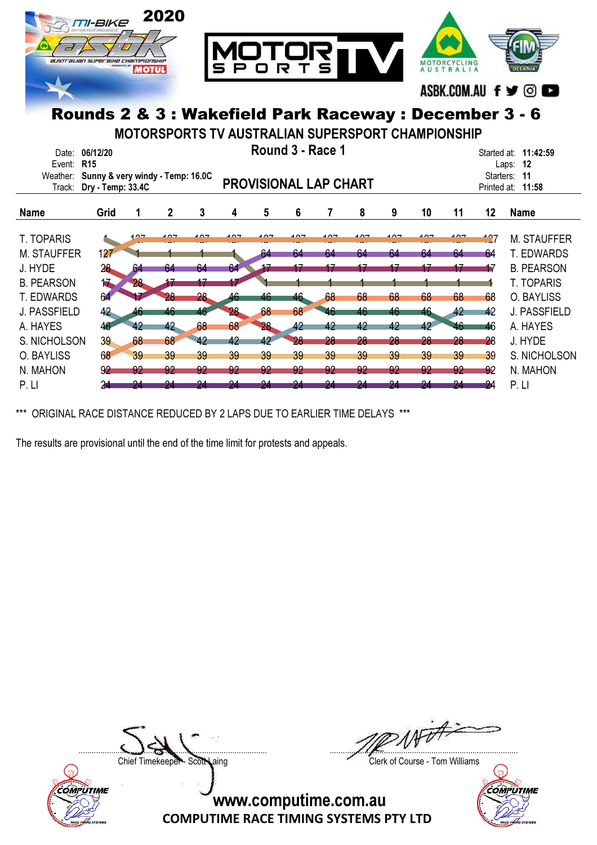

MOTORSPORTS TV AUSTRALIAN SUPERSPORT CHAMPIONSHIP

| Date:<br>Event:<br>Weather:<br>Track: | 06/12/20<br>R <sub>15</sub><br>Sunny & very windy - Temp: 16.0C<br>Dry - Temp: 33.4C |        |             |        | Round 3 - Race 1<br><b>PROVISIONAL LAP CHART</b> |        |     |            |            |     | Started at: 11:42:59<br>12<br>Laps:<br>Starters:<br>-11<br>Printed at:<br>11:58 |     |     |                     |
|---------------------------------------|--------------------------------------------------------------------------------------|--------|-------------|--------|--------------------------------------------------|--------|-----|------------|------------|-----|---------------------------------------------------------------------------------|-----|-----|---------------------|
| <b>Name</b>                           | Grid                                                                                 |        | $\mathbf 2$ | 3      | 4                                                | 5      | 6   |            | 8          | 9   | 10                                                                              | 11  | 12  | <b>Name</b>         |
| <b>T. TOPARIS</b>                     |                                                                                      | $\sim$ | - - -       | $\sim$ | ໍດິ                                              | $\sim$ | 107 | $\sqrt{2}$ | $\sqrt{2}$ | 107 | $\sqrt{2}$                                                                      | 107 | 127 | <b>M. STAUFFER</b>  |
| <b>M. STAUFFER</b>                    | 127                                                                                  |        |             |        |                                                  | 64     | 64  | 64         | 64         | 64  | 64                                                                              | 64  | 64  | <b>T. EDWARDS</b>   |
| J. HYDE                               | 28                                                                                   | 64     | 64          | 64     | 64                                               |        |     |            |            |     |                                                                                 |     | 17  | <b>B. PEARSON</b>   |
| <b>B. PEARSON</b>                     | 17                                                                                   | 28     |             |        |                                                  |        |     |            |            |     |                                                                                 |     |     | <b>T. TOPARIS</b>   |
| T. EDWARDS                            | 64                                                                                   |        | 28          | 28     | 46                                               | 46     | 46  | 68         | 68         | 68  | 68                                                                              | 68  | 68  | O. BAYLISS          |
| J. PASSFIELD                          | 42                                                                                   | 46     | 46          | 46     | 28                                               | 68     | 68  | 46         | 46         | 46  | 46                                                                              | 42  | 42  | <b>J. PASSFIELD</b> |
| A. HAYES                              | 46                                                                                   | 42     | 42          | 68     | 68                                               | 28     | 42  | 42         | 42         | 42  | 42                                                                              | 46  | 46  | A. HAYES            |
| S. NICHOLSON                          | 39                                                                                   | 68     | 68          | 42     | 42                                               | 42     | 28  | 28         | 28         | 28  | 28                                                                              | 28  | 28  | J. HYDE             |
| O. BAYLISS                            | 68                                                                                   | 39     | 39          | 39     | 39                                               | 39     | 39  | 39         | 39         | 39  | 39                                                                              | 39  | 39  | S. NICHOLSON        |
| N. MAHON                              | 92                                                                                   | 92     | 92          | -92    | -92                                              | 92     | -92 | -92        | 92         | 92  | 92                                                                              | 92  | 92  | N. MAHON            |
| P. LI                                 |                                                                                      | 94     | 94          |        |                                                  |        | 94  |            | 94         | 94  | 94                                                                              | 94  | 24  | P. LI               |

\*\*\* ORIGINAL RACE DISTANCE REDUCED BY 2 LAPS DUE TO EARLIER TIME DELAYS \*\*\*

The results are provisional until the end of the time limit for protests and appeals.



....................................................................................... .......................................................................................

Chief Timekeeper - Scott Laing Clerk of Course - Tom Williams

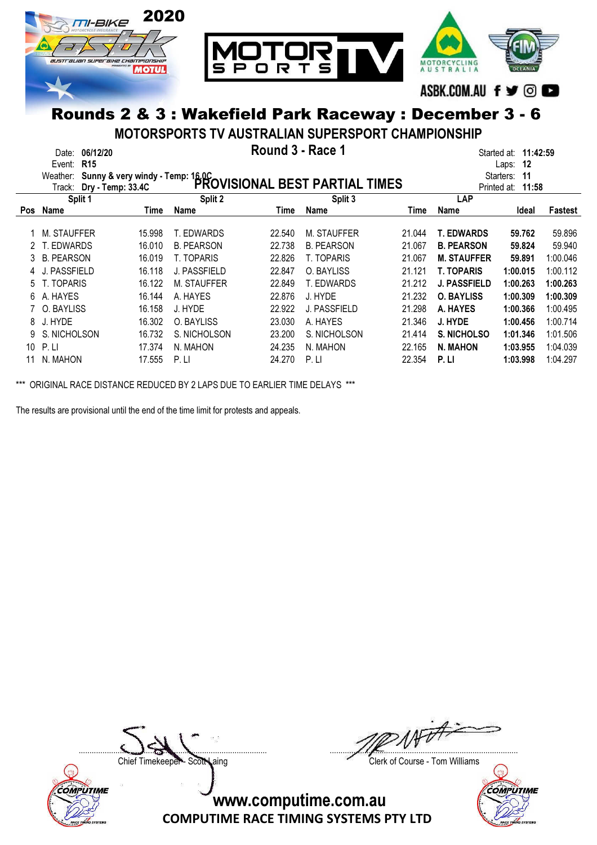

MOTORSPORTS TV AUSTRALIAN SUPERSPORT CHAMPIONSHIP

|            | Date:             | 06/12/20                 | Round 3 - Race 1                                                                   |             | Started at: <b>11:42:59</b> |        |                     |                 |          |
|------------|-------------------|--------------------------|------------------------------------------------------------------------------------|-------------|-----------------------------|--------|---------------------|-----------------|----------|
|            | Event:            | <b>R15</b>               |                                                                                    |             |                             |        |                     | 12<br>Laps:     |          |
|            | Weather:          |                          | Sunny & very windy - Temp: 16.0C<br>Dec Tamps 22.4C PROVISIONAL BEST PARTIAL TIMES |             |                             |        |                     | Starters:<br>11 |          |
|            |                   | Track: Dry - Temp: 33.4C |                                                                                    | Printed at: | 11:58                       |        |                     |                 |          |
|            | Split 1           |                          | Split 2                                                                            |             | Split 3                     |        | <b>LAP</b>          |                 |          |
| <b>Pos</b> | <b>Name</b>       | Time                     | Name                                                                               | Time        | <b>Name</b>                 | Time   | Name                | Ideal           | Fastest  |
|            | M. STAUFFER       | 15.998                   | T. EDWARDS                                                                         | 22.540      | M. STAUFFER                 | 21.044 | <b>T. EDWARDS</b>   | 59.762          | 59.896   |
|            |                   |                          |                                                                                    |             |                             |        |                     |                 |          |
|            | T. EDWARDS        | 16.010                   | <b>B. PEARSON</b>                                                                  | 22.738      | <b>B. PEARSON</b>           | 21.067 | <b>B. PEARSON</b>   | 59.824          | 59.940   |
| 3.         | <b>B. PEARSON</b> | 16.019                   | T. TOPARIS                                                                         | 22.826      | T. TOPARIS                  | 21.067 | <b>M. STAUFFER</b>  | 59.891          | 1:00.046 |
|            | J. PASSFIELD      | 16.118                   | J. PASSFIELD                                                                       | 22.847      | O. BAYLISS                  | 21.121 | <b>T. TOPARIS</b>   | 1:00.015        | 1:00.112 |
| 5.         | T. TOPARIS        | 16.122                   | M. STAUFFER                                                                        | 22.849      | T. EDWARDS                  | 21.212 | <b>J. PASSFIELD</b> | 1:00.263        | 1:00.263 |
| 6.         | A. HAYES          | 16.144                   | A. HAYES                                                                           | 22.876      | J. HYDE                     | 21.232 | <b>O. BAYLISS</b>   | 1:00.309        | 1:00.309 |
|            | 7 O. BAYLISS      | 16.158                   | J. HYDE                                                                            | 22.922      | J. PASSFIELD                | 21.298 | A. HAYES            | 1:00.366        | 1:00.495 |
| 8          | J. HYDE           | 16.302                   | O. BAYLISS                                                                         | 23.030      | A. HAYES                    | 21.346 | J. HYDE             | 1:00.456        | 1:00.714 |
|            | S. NICHOLSON      | 16.732                   | S. NICHOLSON                                                                       | 23.200      | S. NICHOLSON                | 21.414 | <b>S. NICHOLSO</b>  | 1:01.346        | 1:01.506 |
| 10         | P.                | 17.374                   | N. MAHON                                                                           | 24.235      | N. MAHON                    | 22.165 | N. MAHON            | 1:03.955        | 1:04.039 |
| 11         | N. MAHON          | 17.555                   | P.L                                                                                | 24.270      | P.                          | 22.354 | P.LI                | 1:03.998        | 1:04.297 |

\*\*\* ORIGINAL RACE DISTANCE REDUCED BY 2 LAPS DUE TO EARLIER TIME DELAYS \*\*\*

The results are provisional until the end of the time limit for protests and appeals.



....................................................................................... .......................................................................................

Chief Timekeeper - Scott Laing Clerk of Course - Tom Williams

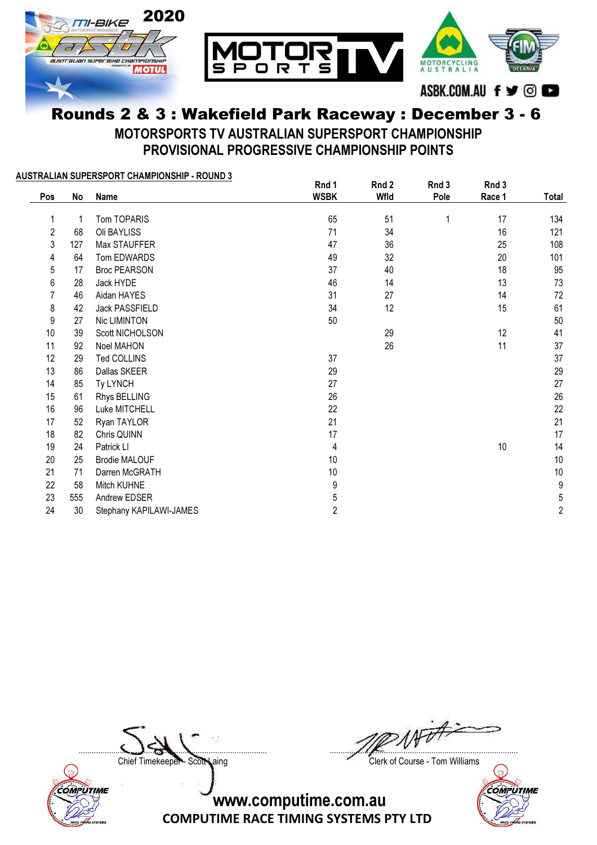

MOTORSPORTS TV AUSTRALIAN SUPERSPORT CHAMPIONSHIP PROVISIONAL PROGRESSIVE CHAMPIONSHIP POINTS

| Pos            | No  | <u> AUSTRALIAN SUPERSPORT CHAMPIONSHIP - ROUND 3</u><br>Name | Rnd 1<br><b>WSBK</b> | Rnd 2<br>Wfld | Rnd 3<br>Pole | Rnd 3<br>Race 1 | Total          |
|----------------|-----|--------------------------------------------------------------|----------------------|---------------|---------------|-----------------|----------------|
| 1              | -1  | Tom TOPARIS                                                  | 65                   | 51            | 1             | 17              | 134            |
| $\overline{2}$ | 68  | Oli BAYLISS                                                  | 71                   | 34            |               | 16              | 121            |
| 3              | 127 | Max STAUFFER                                                 | 47                   | 36            |               | 25              | 108            |
| 4              | 64  | Tom EDWARDS                                                  | 49                   | 32            |               | 20              | 101            |
| 5              | 17  | <b>Broc PEARSON</b>                                          | 37                   | 40            |               | 18              | 95             |
| 6              | 28  | Jack HYDE                                                    | 46                   | 14            |               | 13              | 73             |
| 7              | 46  | Aidan HAYES                                                  | 31                   | 27            |               | 14              | 72             |
| 8              | 42  | Jack PASSFIELD                                               | 34                   | 12            |               | 15              | 61             |
| 9              | 27  | Nic LIMINTON                                                 | 50                   |               |               |                 | 50             |
| 10             | 39  | Scott NICHOLSON                                              |                      | 29            |               | 12              | 41             |
| 11             | 92  | Noel MAHON                                                   |                      | 26            |               | 11              | 37             |
| 12             | 29  | Ted COLLINS                                                  | 37                   |               |               |                 | 37             |
| 13             | 86  | Dallas SKEER                                                 | 29                   |               |               |                 | 29             |
| 14             | 85  | Ty LYNCH                                                     | 27                   |               |               |                 | 27             |
| 15             | 61  | Rhys BELLING                                                 | 26                   |               |               |                 | 26             |
| 16             | 96  | Luke MITCHELL                                                | 22                   |               |               |                 | 22             |
| 17             | 52  | Ryan TAYLOR                                                  | 21                   |               |               |                 | 21             |
| 18             | 82  | Chris QUINN                                                  | 17                   |               |               |                 | 17             |
| 19             | 24  | Patrick LI                                                   | 4                    |               |               | 10              | 14             |
| 20             | 25  | <b>Brodie MALOUF</b>                                         | 10                   |               |               |                 | 10             |
| 21             | 71  | Darren McGRATH                                               | 10                   |               |               |                 | 10             |
| 22             | 58  | Mitch KUHNE                                                  | 9                    |               |               |                 | 9              |
| 23             | 555 | Andrew EDSER                                                 | 5                    |               |               |                 | 5              |
| 24             | 30  | Stephany KAPILAWI-JAMES                                      | $\sqrt{2}$           |               |               |                 | $\overline{c}$ |



....................................................................................... .......................................................................................

Chief Timekeeper - Scott Laing Clerk of Course - Tom Williams